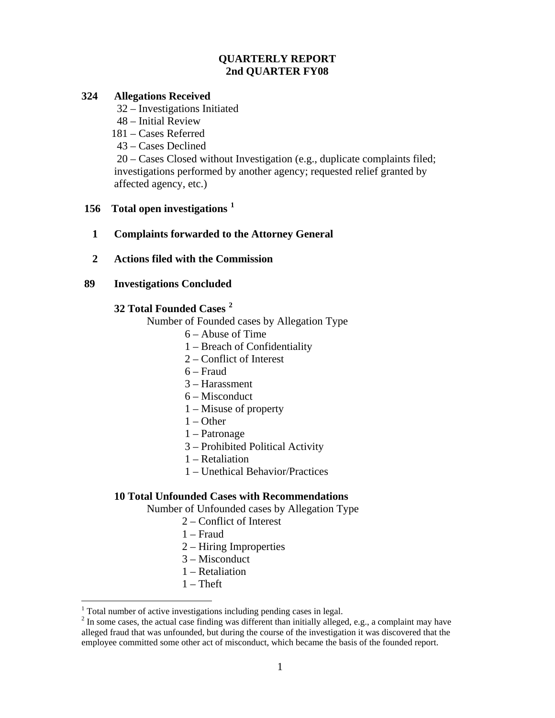## **QUARTERLY REPORT 2nd QUARTER FY08**

### **324 Allegations Received**

32 – Investigations Initiated

- 48 Initial Review
- 181 Cases Referred
- 43 Cases Declined

 20 – Cases Closed without Investigation (e.g., duplicate complaints filed; investigations performed by another agency; requested relief granted by affected agency, etc.)

## **156 Total open investigations [1](#page-0-0)**

- **1 Complaints forwarded to the Attorney General**
- **2 Actions filed with the Commission**

## **89 Investigations Concluded**

# **32 Total Founded Cases [2](#page-0-1)**

Number of Founded cases by Allegation Type

- 6 Abuse of Time
- 1 Breach of Confidentiality
- 2 Conflict of Interest
- 6 Fraud
- 3 Harassment
- 6 Misconduct
- 1 Misuse of property
- $1 -$ Other
- 1 Patronage
- 3 Prohibited Political Activity
- 1 Retaliation
- 1 Unethical Behavior/Practices

### **10 Total Unfounded Cases with Recommendations**

Number of Unfounded cases by Allegation Type

- 2 Conflict of Interest
- 1 Fraud
- 2 Hiring Improperties
- 3 Misconduct
- 1 Retaliation
- $1$  Theft

1

<span id="page-0-0"></span><sup>&</sup>lt;sup>1</sup> Total number of active investigations including pending cases in legal.

<span id="page-0-1"></span> $2^{2}$  In some cases, the actual case finding was different than initially alleged, e.g., a complaint may have alleged fraud that was unfounded, but during the course of the investigation it was discovered that the employee committed some other act of misconduct, which became the basis of the founded report.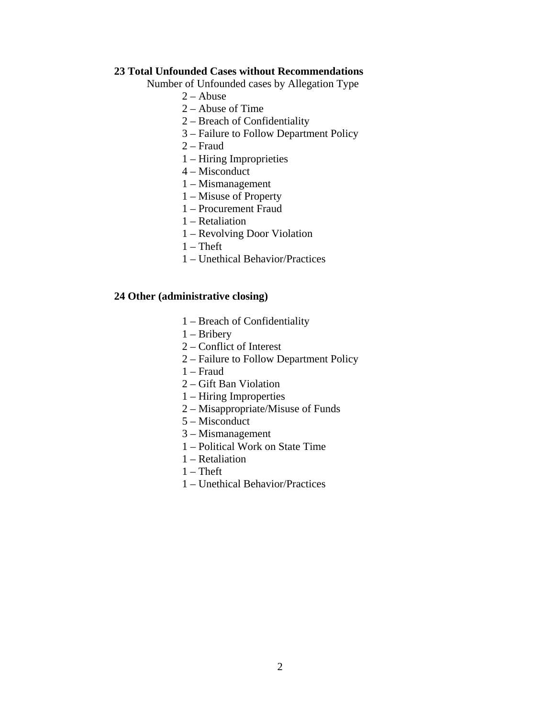### **23 Total Unfounded Cases without Recommendations**

Number of Unfounded cases by Allegation Type

- $2 -$ Abuse
- 2 Abuse of Time
- 2 Breach of Confidentiality
- 3 Failure to Follow Department Policy
- 2 Fraud
- 1 Hiring Improprieties
- 4 Misconduct
- 1 Mismanagement
- 1 Misuse of Property
- 1 Procurement Fraud
- 1 Retaliation
- 1 Revolving Door Violation
- $1$  Theft
- 1 Unethical Behavior/Practices

### **24 Other (administrative closing)**

- 1 Breach of Confidentiality
- 1 Bribery
- 2 Conflict of Interest
- 2 Failure to Follow Department Policy
- 1 Fraud
- 2 Gift Ban Violation
- 1 Hiring Improperties
- 2 Misappropriate/Misuse of Funds
- 5 Misconduct
- 3 Mismanagement
- 1 Political Work on State Time
- 1 Retaliation
- $1$  Theft
- 1 Unethical Behavior/Practices